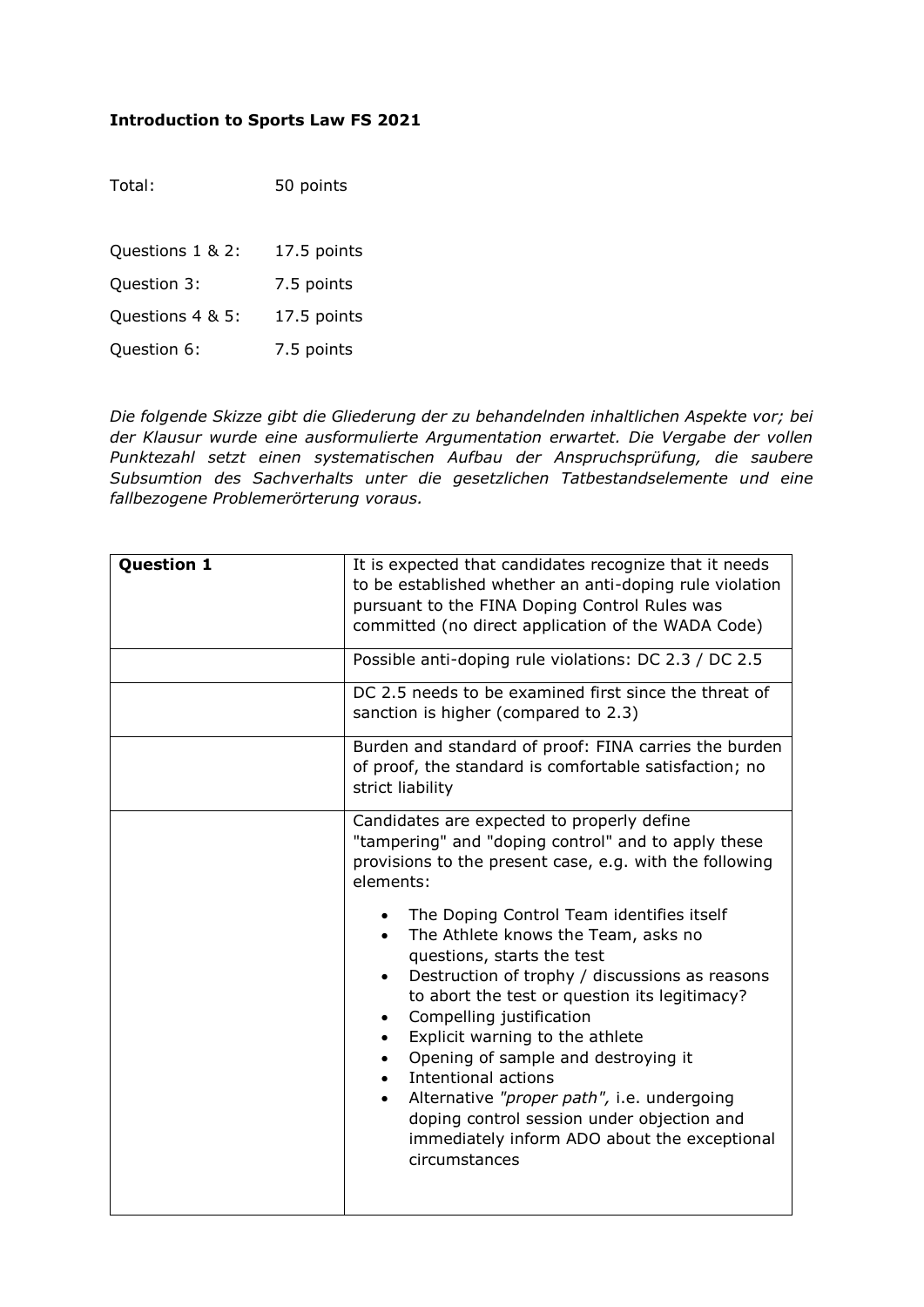## **Introduction to Sports Law FS 2021**

| Total:           | 50 points   |
|------------------|-------------|
| Questions 1 & 2: | 17.5 points |
| Question 3:      | 7.5 points  |
| Questions 4 & 5: | 17.5 points |
| Question 6:      | 7.5 points  |
|                  |             |

*Die folgende Skizze gibt die Gliederung der zu behandelnden inhaltlichen Aspekte vor; bei der Klausur wurde eine ausformulierte Argumentation erwartet. Die Vergabe der vollen Punktezahl setzt einen systematischen Aufbau der Anspruchsprüfung, die saubere Subsumtion des Sachverhalts unter die gesetzlichen Tatbestandselemente und eine fallbezogene Problemerörterung voraus.*

| <b>Question 1</b> | It is expected that candidates recognize that it needs<br>to be established whether an anti-doping rule violation<br>pursuant to the FINA Doping Control Rules was<br>committed (no direct application of the WADA Code)                                                                                                                                                                                                                                                                                                              |
|-------------------|---------------------------------------------------------------------------------------------------------------------------------------------------------------------------------------------------------------------------------------------------------------------------------------------------------------------------------------------------------------------------------------------------------------------------------------------------------------------------------------------------------------------------------------|
|                   | Possible anti-doping rule violations: DC 2.3 / DC 2.5                                                                                                                                                                                                                                                                                                                                                                                                                                                                                 |
|                   | DC 2.5 needs to be examined first since the threat of<br>sanction is higher (compared to 2.3)                                                                                                                                                                                                                                                                                                                                                                                                                                         |
|                   | Burden and standard of proof: FINA carries the burden<br>of proof, the standard is comfortable satisfaction; no<br>strict liability                                                                                                                                                                                                                                                                                                                                                                                                   |
|                   | Candidates are expected to properly define<br>"tampering" and "doping control" and to apply these<br>provisions to the present case, e.g. with the following<br>elements:                                                                                                                                                                                                                                                                                                                                                             |
|                   | The Doping Control Team identifies itself<br>The Athlete knows the Team, asks no<br>$\bullet$<br>questions, starts the test<br>Destruction of trophy / discussions as reasons<br>to abort the test or question its legitimacy?<br>Compelling justification<br>$\bullet$<br>Explicit warning to the athlete<br>Opening of sample and destroying it<br>Intentional actions<br>Alternative "proper path", i.e. undergoing<br>doping control session under objection and<br>immediately inform ADO about the exceptional<br>circumstances |
|                   |                                                                                                                                                                                                                                                                                                                                                                                                                                                                                                                                       |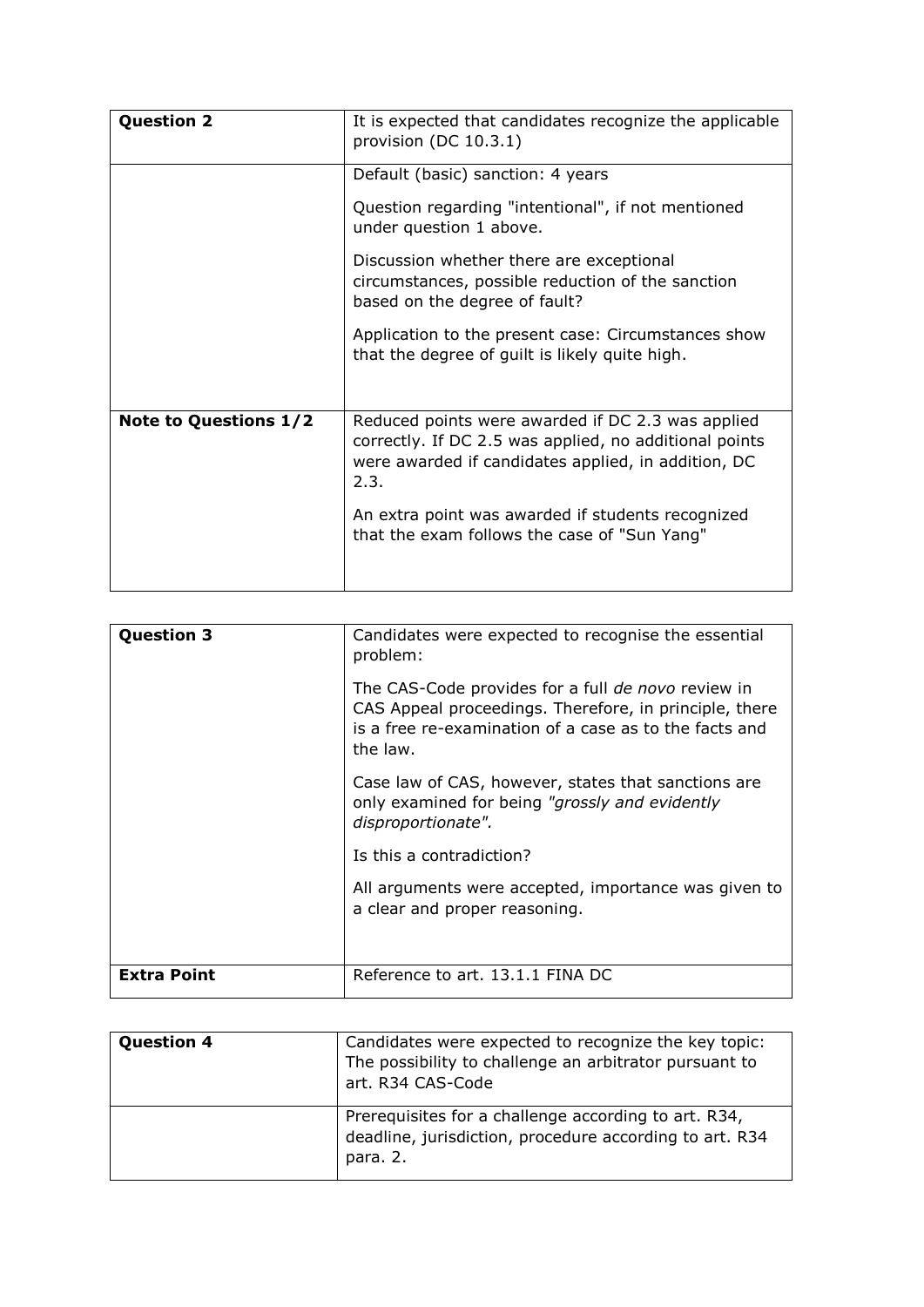| <b>Question 2</b>            | It is expected that candidates recognize the applicable<br>provision (DC 10.3.1)                                                                                           |
|------------------------------|----------------------------------------------------------------------------------------------------------------------------------------------------------------------------|
|                              | Default (basic) sanction: 4 years                                                                                                                                          |
|                              | Question regarding "intentional", if not mentioned<br>under question 1 above.                                                                                              |
|                              | Discussion whether there are exceptional<br>circumstances, possible reduction of the sanction<br>based on the degree of fault?                                             |
|                              | Application to the present case: Circumstances show<br>that the degree of guilt is likely quite high.                                                                      |
| <b>Note to Questions 1/2</b> | Reduced points were awarded if DC 2.3 was applied<br>correctly. If DC 2.5 was applied, no additional points<br>were awarded if candidates applied, in addition, DC<br>2.3. |
|                              | An extra point was awarded if students recognized<br>that the exam follows the case of "Sun Yang"                                                                          |

| <b>Question 3</b>  | Candidates were expected to recognise the essential<br>problem:                                                                                                                    |
|--------------------|------------------------------------------------------------------------------------------------------------------------------------------------------------------------------------|
|                    | The CAS-Code provides for a full de novo review in<br>CAS Appeal proceedings. Therefore, in principle, there<br>is a free re-examination of a case as to the facts and<br>the law. |
|                    | Case law of CAS, however, states that sanctions are<br>only examined for being "grossly and evidently<br>disproportionate".                                                        |
|                    | Is this a contradiction?                                                                                                                                                           |
|                    | All arguments were accepted, importance was given to<br>a clear and proper reasoning.                                                                                              |
|                    |                                                                                                                                                                                    |
| <b>Extra Point</b> | Reference to art. 13.1.1 FINA DC                                                                                                                                                   |

| <b>Question 4</b> | Candidates were expected to recognize the key topic:<br>The possibility to challenge an arbitrator pursuant to<br>art. R34 CAS-Code |
|-------------------|-------------------------------------------------------------------------------------------------------------------------------------|
|                   | Prerequisites for a challenge according to art. R34,<br>deadline, jurisdiction, procedure according to art. R34<br>para. 2.         |